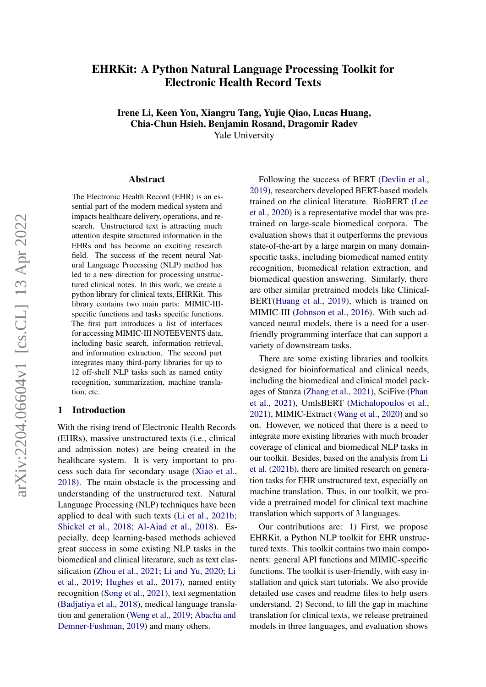# EHRKit: A Python Natural Language Processing Toolkit for Electronic Health Record Texts

Irene Li, Keen You, Xiangru Tang, Yujie Qiao, Lucas Huang, Chia-Chun Hsieh, Benjamin Rosand, Dragomir Radev

Yale University

#### Abstract

The Electronic Health Record (EHR) is an essential part of the modern medical system and impacts healthcare delivery, operations, and research. Unstructured text is attracting much attention despite structured information in the EHRs and has become an exciting research field. The success of the recent neural Natural Language Processing (NLP) method has led to a new direction for processing unstructured clinical notes. In this work, we create a python library for clinical texts, EHRKit. This library contains two main parts: MIMIC-IIIspecific functions and tasks specific functions. The first part introduces a list of interfaces for accessing MIMIC-III NOTEEVENTS data, including basic search, information retrieval, and information extraction. The second part integrates many third-party libraries for up to 12 off-shelf NLP tasks such as named entity recognition, summarization, machine translation, etc.

#### 1 Introduction

With the rising trend of Electronic Health Records (EHRs), massive unstructured texts (i.e., clinical and admission notes) are being created in the healthcare system. It is very important to process such data for secondary usage [\(Xiao et al.,](#page-6-0) [2018\)](#page-6-0). The main obstacle is the processing and understanding of the unstructured text. Natural Language Processing (NLP) techniques have been applied to deal with such texts [\(Li et al.,](#page-5-0) [2021b;](#page-5-0) [Shickel et al.,](#page-6-1) [2018;](#page-6-1) [Al-Aiad et al.,](#page-4-0) [2018\)](#page-4-0). Especially, deep learning-based methods achieved great success in some existing NLP tasks in the biomedical and clinical literature, such as text classification [\(Zhou et al.,](#page-6-2) [2021;](#page-6-2) [Li and Yu,](#page-5-1) [2020;](#page-5-1) [Li](#page-5-2) [et al.,](#page-5-2) [2019;](#page-5-2) [Hughes et al.,](#page-5-3) [2017\)](#page-5-3), named entity recognition [\(Song et al.,](#page-6-3) [2021\)](#page-6-3), text segmentation [\(Badjatiya et al.,](#page-4-1) [2018\)](#page-4-1), medical language translation and generation [\(Weng et al.,](#page-6-4) [2019;](#page-6-4) [Abacha and](#page-4-2) [Demner-Fushman,](#page-4-2) [2019\)](#page-4-2) and many others.

Following the success of BERT [\(Devlin et al.,](#page-4-3) [2019\)](#page-4-3), researchers developed BERT-based models trained on the clinical literature. BioBERT [\(Lee](#page-5-4) [et al.,](#page-5-4) [2020\)](#page-5-4) is a representative model that was pretrained on large-scale biomedical corpora. The evaluation shows that it outperforms the previous state-of-the-art by a large margin on many domainspecific tasks, including biomedical named entity recognition, biomedical relation extraction, and biomedical question answering. Similarly, there are other similar pretrained models like Clinical-BERT[\(Huang et al.,](#page-5-5) [2019\)](#page-5-5), which is trained on MIMIC-III [\(Johnson et al.,](#page-5-6) [2016\)](#page-5-6). With such advanced neural models, there is a need for a userfriendly programming interface that can support a variety of downstream tasks.

There are some existing libraries and toolkits designed for bioinformatical and clinical needs, including the biomedical and clinical model packages of Stanza [\(Zhang et al.,](#page-6-5) [2021\)](#page-6-5), SciFive [\(Phan](#page-5-7) [et al.,](#page-5-7) [2021\)](#page-5-7), UmlsBERT [\(Michalopoulos et al.,](#page-5-8) [2021\)](#page-5-8), MIMIC-Extract [\(Wang et al.,](#page-6-6) [2020\)](#page-6-6) and so on. However, we noticed that there is a need to integrate more existing libraries with much broader coverage of clinical and biomedical NLP tasks in our toolkit. Besides, based on the analysis from [Li](#page-5-0) [et al.](#page-5-0) [\(2021b\)](#page-5-0), there are limited research on generation tasks for EHR unstructured text, especially on machine translation. Thus, in our toolkit, we provide a pretrained model for clinical text machine translation which supports of 3 languages.

Our contributions are: 1) First, we propose EHRKit, a Python NLP toolkit for EHR unstructured texts. This toolkit contains two main components: general API functions and MIMIC-specific functions. The toolkit is user-friendly, with easy installation and quick start tutorials. We also provide detailed use cases and readme files to help users understand. 2) Second, to fill the gap in machine translation for clinical texts, we release pretrained models in three languages, and evaluation shows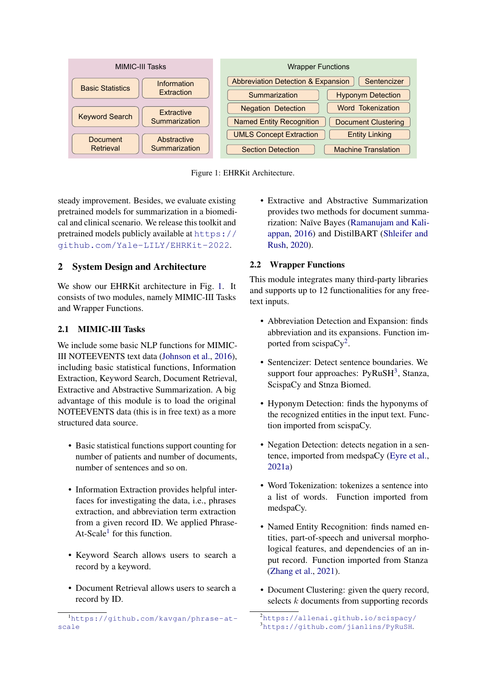<span id="page-1-0"></span>

Figure 1: EHRKit Architecture.

steady improvement. Besides, we evaluate existing pretrained models for summarization in a biomedical and clinical scenario. We release this toolkit and pretrained models publicly available at [https://](https://github.com/Yale-LILY/EHRKit-2022) [github.com/Yale-LILY/EHRKit-2022](https://github.com/Yale-LILY/EHRKit-2022).

# 2 System Design and Architecture

We show our EHRKit architecture in Fig. [1.](#page-1-0) It consists of two modules, namely MIMIC-III Tasks and Wrapper Functions.

# 2.1 MIMIC-III Tasks

We include some basic NLP functions for MIMIC-III NOTEEVENTS text data [\(Johnson et al.,](#page-5-6) [2016\)](#page-5-6), including basic statistical functions, Information Extraction, Keyword Search, Document Retrieval, Extractive and Abstractive Summarization. A big advantage of this module is to load the original NOTEEVENTS data (this is in free text) as a more structured data source.

- Basic statistical functions support counting for number of patients and number of documents, number of sentences and so on.
- Information Extraction provides helpful interfaces for investigating the data, i.e., phrases extraction, and abbreviation term extraction from a given record ID. We applied Phrase-At-Scale<sup>[1](#page-1-1)</sup> for this function.
- Keyword Search allows users to search a record by a keyword.
- Document Retrieval allows users to search a record by ID.

• Extractive and Abstractive Summarization provides two methods for document summarization: Naïve Bayes [\(Ramanujam and Kali](#page-5-9)[appan,](#page-5-9) [2016\)](#page-5-9) and DistilBART [\(Shleifer and](#page-6-7) [Rush,](#page-6-7) [2020\)](#page-6-7).

# 2.2 Wrapper Functions

This module integrates many third-party libraries and supports up to 12 functionalities for any freetext inputs.

- Abbreviation Detection and Expansion: finds abbreviation and its expansions. Function im-ported from scispaCy<sup>[2](#page-1-2)</sup>.
- Sentencizer: Detect sentence boundaries. We support four approaches:  $PyRuSH<sup>3</sup>$  $PyRuSH<sup>3</sup>$  $PyRuSH<sup>3</sup>$ , Stanza, ScispaCy and Stnza Biomed.
- Hyponym Detection: finds the hyponyms of the recognized entities in the input text. Function imported from scispaCy.
- Negation Detection: detects negation in a sentence, imported from medspaCy [\(Eyre et al.,](#page-4-4) [2021a\)](#page-4-4)
- Word Tokenization: tokenizes a sentence into a list of words. Function imported from medspaCy.
- Named Entity Recognition: finds named entities, part-of-speech and universal morphological features, and dependencies of an input record. Function imported from Stanza [\(Zhang et al.,](#page-6-5) [2021\)](#page-6-5).
- Document Clustering: given the query record, selects k documents from supporting records

<span id="page-1-1"></span><sup>1</sup>[https://github.com/kavgan/phrase-at](https://github.com/kavgan/phrase-at-scale)[scale](https://github.com/kavgan/phrase-at-scale)

<span id="page-1-3"></span><span id="page-1-2"></span><sup>2</sup><https://allenai.github.io/scispacy/> <sup>3</sup><https://github.com/jianlins/PyRuSH>.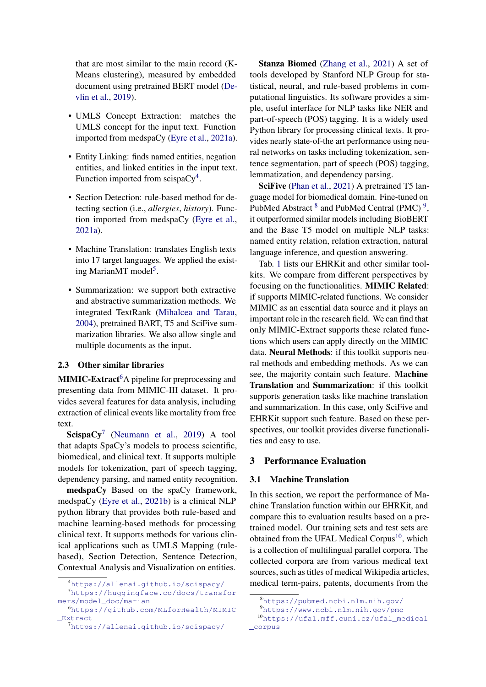that are most similar to the main record (K-Means clustering), measured by embedded document using pretrained BERT model [\(De](#page-4-3)[vlin et al.,](#page-4-3) [2019\)](#page-4-3).

- UMLS Concept Extraction: matches the UMLS concept for the input text. Function imported from medspaCy [\(Eyre et al.,](#page-4-4) [2021a\)](#page-4-4).
- Entity Linking: finds named entities, negation entities, and linked entities in the input text. Function imported from scispa $Cy^{4}$  $Cy^{4}$  $Cy^{4}$ .
- Section Detection: rule-based method for detecting section (i.e., *allergies*, *history*). Function imported from medspaCy [\(Eyre et al.,](#page-4-4) [2021a\)](#page-4-4).
- Machine Translation: translates English texts into 17 target languages. We applied the exist-ing MarianMT model<sup>[5](#page-2-1)</sup>.
- Summarization: we support both extractive and abstractive summarization methods. We integrated TextRank [\(Mihalcea and Tarau,](#page-5-10) [2004\)](#page-5-10), pretrained BART, T5 and SciFive summarization libraries. We also allow single and multiple documents as the input.

### 2.3 Other similar libraries

**MIMIC-Extract**<sup>[6](#page-2-2)</sup>A pipeline for preprocessing and presenting data from MIMIC-III dataset. It provides several features for data analysis, including extraction of clinical events like mortality from free text.

 $\text{ScispaCy}^7$  $\text{ScispaCy}^7$  [\(Neumann et al.,](#page-5-11) [2019\)](#page-5-11) A tool that adapts SpaCy's models to process scientific, biomedical, and clinical text. It supports multiple models for tokenization, part of speech tagging, dependency parsing, and named entity recognition.

medspaCy Based on the spaCy framework, medspaCy [\(Eyre et al.,](#page-4-5) [2021b\)](#page-4-5) is a clinical NLP python library that provides both rule-based and machine learning-based methods for processing clinical text. It supports methods for various clinical applications such as UMLS Mapping (rulebased), Section Detection, Sentence Detection, Contextual Analysis and Visualization on entities.

Stanza Biomed [\(Zhang et al.,](#page-6-5) [2021\)](#page-6-5) A set of tools developed by Stanford NLP Group for statistical, neural, and rule-based problems in computational linguistics. Its software provides a simple, useful interface for NLP tasks like NER and part-of-speech (POS) tagging. It is a widely used Python library for processing clinical texts. It provides nearly state-of-the art performance using neural networks on tasks including tokenization, sentence segmentation, part of speech (POS) tagging, lemmatization, and dependency parsing.

SciFive [\(Phan et al.,](#page-5-7) [2021\)](#page-5-7) A pretrained T5 language model for biomedical domain. Fine-tuned on PubMed Abstract  $8$  and PubMed Central (PMC) $9$ , it outperformed similar models including BioBERT and the Base T5 model on multiple NLP tasks: named entity relation, relation extraction, natural language inference, and question answering.

Tab. [1](#page-3-0) lists our EHRKit and other similar toolkits. We compare from different perspectives by focusing on the functionalities. MIMIC Related: if supports MIMIC-related functions. We consider MIMIC as an essential data source and it plays an important role in the research field. We can find that only MIMIC-Extract supports these related functions which users can apply directly on the MIMIC data. Neural Methods: if this toolkit supports neural methods and embedding methods. As we can see, the majority contain such feature. Machine Translation and Summarization: if this toolkit supports generation tasks like machine translation and summarization. In this case, only SciFive and EHRKit support such feature. Based on these perspectives, our toolkit provides diverse functionalities and easy to use.

### 3 Performance Evaluation

#### 3.1 Machine Translation

In this section, we report the performance of Machine Translation function within our EHRKit, and compare this to evaluation results based on a pretrained model. Our training sets and test sets are obtained from the UFAL Medical Corpus<sup>[10](#page-2-6)</sup>, which is a collection of multilingual parallel corpora. The collected corpora are from various medical text sources, such as titles of medical Wikipedia articles, medical term-pairs, patents, documents from the

<span id="page-2-1"></span><span id="page-2-0"></span><sup>4</sup><https://allenai.github.io/scispacy/> <sup>5</sup>[https://huggingface.co/docs/transfor](https://huggingface.co/docs/transformers/model_doc/marian) [mers/model\\_doc/marian](https://huggingface.co/docs/transformers/model_doc/marian)

<span id="page-2-2"></span><sup>6</sup>[https://github.com/MLforHealth/MIMIC](https://github.com/MLforHealth/MIMIC_Extract) [\\_Extract](https://github.com/MLforHealth/MIMIC_Extract)

<span id="page-2-3"></span><sup>7</sup><https://allenai.github.io/scispacy/>

<span id="page-2-4"></span><sup>8</sup><https://pubmed.ncbi.nlm.nih.gov/>

<span id="page-2-6"></span><span id="page-2-5"></span><sup>9</sup><https://www.ncbi.nlm.nih.gov/pmc>

<sup>10</sup>[https://ufal.mff.cuni.cz/ufal\\_medical](https://ufal.mff.cuni.cz/ufal_medical_corpus) [\\_corpus](https://ufal.mff.cuni.cz/ufal_medical_corpus)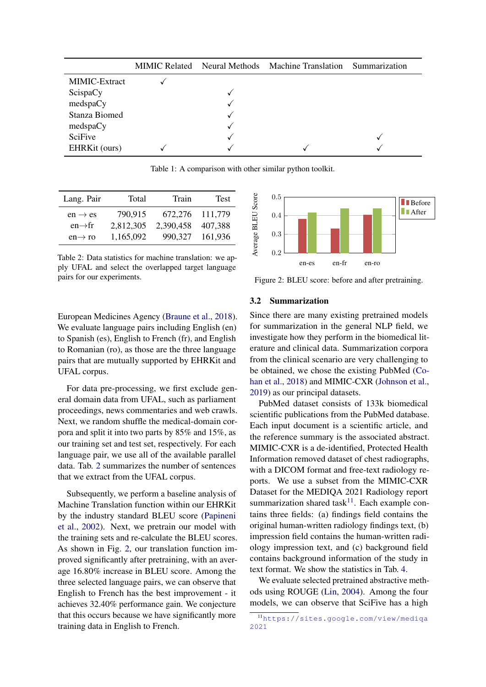<span id="page-3-0"></span>

|               |   | MIMIC Related Neural Methods Machine Translation | Summarization |
|---------------|---|--------------------------------------------------|---------------|
| MIMIC-Extract |   |                                                  |               |
| ScispaCy      |   |                                                  |               |
| medspaCy      |   |                                                  |               |
| Stanza Biomed | √ |                                                  |               |
| medspaCy      |   |                                                  |               |
| SciFive       |   |                                                  |               |
| EHRKit (ours) |   |                                                  |               |

Table 1: A comparison with other similar python toolkit.

<span id="page-3-1"></span>

| Lang. Pair          | Total     | Train     | <b>Test</b> |
|---------------------|-----------|-----------|-------------|
| $en \rightarrow es$ | 790,915   | 672,276   | 111,779     |
| $en \rightarrow fr$ | 2,812,305 | 2,390,458 | 407,388     |
| $en \rightarrow ro$ | 1,165,092 | 990.327   | 161,936     |

Table 2: Data statistics for machine translation: we apply UFAL and select the overlapped target language pairs for our experiments.

<span id="page-3-2"></span>

Figure 2: BLEU score: before and after pretraining.

European Medicines Agency [\(Braune et al.,](#page-4-6) [2018\)](#page-4-6). We evaluate language pairs including English (en) to Spanish (es), English to French (fr), and English to Romanian (ro), as those are the three language pairs that are mutually supported by EHRKit and UFAL corpus.

For data pre-processing, we first exclude general domain data from UFAL, such as parliament proceedings, news commentaries and web crawls. Next, we random shuffle the medical-domain corpora and split it into two parts by 85% and 15%, as our training set and test set, respectively. For each language pair, we use all of the available parallel data. Tab. [2](#page-3-1) summarizes the number of sentences that we extract from the UFAL corpus.

Subsequently, we perform a baseline analysis of Machine Translation function within our EHRKit by the industry standard BLEU score [\(Papineni](#page-5-12) [et al.,](#page-5-12) [2002\)](#page-5-12). Next, we pretrain our model with the training sets and re-calculate the BLEU scores. As shown in Fig. [2,](#page-3-2) our translation function improved significantly after pretraining, with an average 16.80% increase in BLEU score. Among the three selected language pairs, we can observe that English to French has the best improvement - it achieves 32.40% performance gain. We conjecture that this occurs because we have significantly more training data in English to French.

#### 3.2 Summarization

Since there are many existing pretrained models for summarization in the general NLP field, we investigate how they perform in the biomedical literature and clinical data. Summarization corpora from the clinical scenario are very challenging to be obtained, we chose the existing PubMed [\(Co](#page-4-7)[han et al.,](#page-4-7) [2018\)](#page-4-7) and MIMIC-CXR [\(Johnson et al.,](#page-5-13) [2019\)](#page-5-13) as our principal datasets.

PubMed dataset consists of 133k biomedical scientific publications from the PubMed database. Each input document is a scientific article, and the reference summary is the associated abstract. MIMIC-CXR is a de-identified, Protected Health Information removed dataset of chest radiographs, with a DICOM format and free-text radiology reports. We use a subset from the MIMIC-CXR Dataset for the MEDIQA 2021 Radiology report summarization shared task $11$ . Each example contains three fields: (a) findings field contains the original human-written radiology findings text, (b) impression field contains the human-written radiology impression text, and (c) background field contains background information of the study in text format. We show the statistics in Tab. [4.](#page-4-8)

We evaluate selected pretrained abstractive methods using ROUGE [\(Lin,](#page-5-14) [2004\)](#page-5-14). Among the four models, we can observe that SciFive has a high

<span id="page-3-3"></span><sup>11</sup>[https://sites.google.com/view/mediqa](https://sites.google.com/view/mediqa2021) [2021](https://sites.google.com/view/mediqa2021)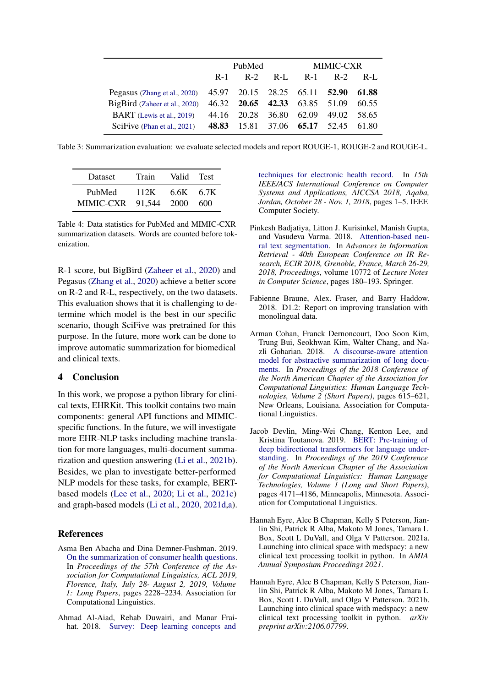|                                  | PubMed |                               | <b>MIMIC-CXR</b>  |             |             |         |
|----------------------------------|--------|-------------------------------|-------------------|-------------|-------------|---------|
|                                  | $R-1$  | $R-2$                         | $R-I$ .           | $R-1$       | $R-2$       | $R-I$ . |
| Pegasus (Zhang et al., 2020)     |        | 45.97 20.15 28.25 65.11 52.90 |                   |             |             | 61.88   |
| BigBird (Zaheer et al., 2020)    | 46.32  | 20.65                         | 42.33             |             | 63.85 51.09 | 60.55   |
| <b>BART</b> (Lewis et al., 2019) |        | 44.16 20.28                   |                   | 36.80 62.09 | 49.02       | 58.65   |
| SciFive (Phan et al., 2021)      | 48.83  |                               | 15.81 37.06 65.17 |             | 52.45       | 61.80   |

Table 3: Summarization evaluation: we evaluate selected models and report ROUGE-1, ROUGE-2 and ROUGE-L.

<span id="page-4-8"></span>

| Dataset                         | Train | Valid     | Test <sup>-</sup> |
|---------------------------------|-------|-----------|-------------------|
| PubMed<br>MIMIC-CXR 91,544 2000 | 112K  | 6.6K 6.7K | 600               |

Table 4: Data statistics for PubMed and MIMIC-CXR summarization datasets. Words are counted before tokenization.

R-1 score, but BigBird [\(Zaheer et al.,](#page-6-9) [2020\)](#page-6-9) and Pegasus [\(Zhang et al.,](#page-6-8) [2020\)](#page-6-8) achieve a better score on R-2 and R-L, respectively, on the two datasets. This evaluation shows that it is challenging to determine which model is the best in our specific scenario, though SciFive was pretrained for this purpose. In the future, more work can be done to improve automatic summarization for biomedical and clinical texts.

### 4 Conclusion

In this work, we propose a python library for clinical texts, EHRKit. This toolkit contains two main components: general API functions and MIMICspecific functions. In the future, we will investigate more EHR-NLP tasks including machine translation for more languages, multi-document summarization and question answering [\(Li et al.,](#page-5-0) [2021b\)](#page-5-0). Besides, we plan to investigate better-performed NLP models for these tasks, for example, BERTbased models [\(Lee et al.,](#page-5-4) [2020;](#page-5-4) [Li et al.,](#page-5-16) [2021c\)](#page-5-16) and graph-based models [\(Li et al.,](#page-5-17) [2020,](#page-5-17) [2021d,](#page-5-18)[a\)](#page-5-19).

### References

- <span id="page-4-2"></span>Asma Ben Abacha and Dina Demner-Fushman. 2019. [On the summarization of consumer health questions.](https://doi.org/10.18653/v1/p19-1215) In *Proceedings of the 57th Conference of the Association for Computational Linguistics, ACL 2019, Florence, Italy, July 28- August 2, 2019, Volume 1: Long Papers*, pages 2228–2234. Association for Computational Linguistics.
- <span id="page-4-0"></span>Ahmad Al-Aiad, Rehab Duwairi, and Manar Fraihat. 2018. [Survey: Deep learning concepts and](https://doi.org/10.1109/AICCSA.2018.8612827)

[techniques for electronic health record.](https://doi.org/10.1109/AICCSA.2018.8612827) In *15th IEEE/ACS International Conference on Computer Systems and Applications, AICCSA 2018, Aqaba, Jordan, October 28 - Nov. 1, 2018*, pages 1–5. IEEE Computer Society.

- <span id="page-4-1"></span>Pinkesh Badjatiya, Litton J. Kurisinkel, Manish Gupta, and Vasudeva Varma. 2018. [Attention-based neu](https://doi.org/10.1007/978-3-319-76941-7_14)[ral text segmentation.](https://doi.org/10.1007/978-3-319-76941-7_14) In *Advances in Information Retrieval - 40th European Conference on IR Research, ECIR 2018, Grenoble, France, March 26-29, 2018, Proceedings*, volume 10772 of *Lecture Notes in Computer Science*, pages 180–193. Springer.
- <span id="page-4-6"></span>Fabienne Braune, Alex. Fraser, and Barry Haddow. 2018. D1.2: Report on improving translation with monolingual data.
- <span id="page-4-7"></span>Arman Cohan, Franck Dernoncourt, Doo Soon Kim, Trung Bui, Seokhwan Kim, Walter Chang, and Nazli Goharian. 2018. [A discourse-aware attention](https://doi.org/10.18653/v1/N18-2097) [model for abstractive summarization of long docu](https://doi.org/10.18653/v1/N18-2097)[ments.](https://doi.org/10.18653/v1/N18-2097) In *Proceedings of the 2018 Conference of the North American Chapter of the Association for Computational Linguistics: Human Language Technologies, Volume 2 (Short Papers)*, pages 615–621, New Orleans, Louisiana. Association for Computational Linguistics.
- <span id="page-4-3"></span>Jacob Devlin, Ming-Wei Chang, Kenton Lee, and Kristina Toutanova. 2019. [BERT: Pre-training of](https://doi.org/10.18653/v1/N19-1423) [deep bidirectional transformers for language under](https://doi.org/10.18653/v1/N19-1423)[standing.](https://doi.org/10.18653/v1/N19-1423) In *Proceedings of the 2019 Conference of the North American Chapter of the Association for Computational Linguistics: Human Language Technologies, Volume 1 (Long and Short Papers)*, pages 4171–4186, Minneapolis, Minnesota. Association for Computational Linguistics.
- <span id="page-4-4"></span>Hannah Eyre, Alec B Chapman, Kelly S Peterson, Jianlin Shi, Patrick R Alba, Makoto M Jones, Tamara L Box, Scott L DuVall, and Olga V Patterson. 2021a. Launching into clinical space with medspacy: a new clinical text processing toolkit in python. In *AMIA Annual Symposium Proceedings 2021*.
- <span id="page-4-5"></span>Hannah Eyre, Alec B Chapman, Kelly S Peterson, Jianlin Shi, Patrick R Alba, Makoto M Jones, Tamara L Box, Scott L DuVall, and Olga V Patterson. 2021b. Launching into clinical space with medspacy: a new clinical text processing toolkit in python. *arXiv preprint arXiv:2106.07799*.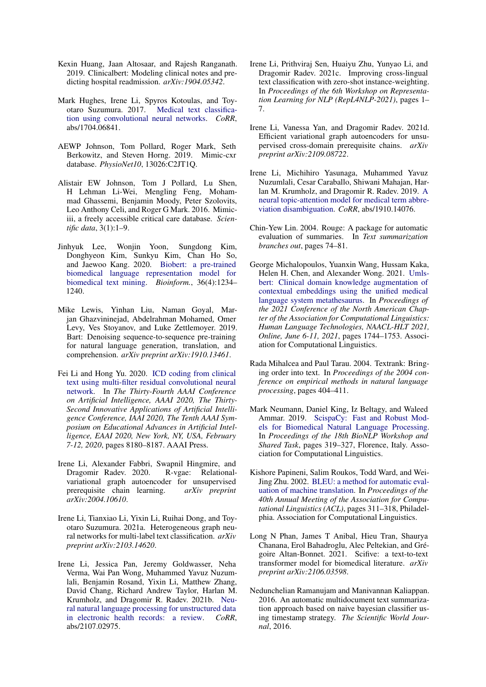- <span id="page-5-5"></span>Kexin Huang, Jaan Altosaar, and Rajesh Ranganath. 2019. Clinicalbert: Modeling clinical notes and predicting hospital readmission. *arXiv:1904.05342*.
- <span id="page-5-3"></span>Mark Hughes, Irene Li, Spyros Kotoulas, and Toyotaro Suzumura. 2017. [Medical text classifica](http://arxiv.org/abs/1704.06841)[tion using convolutional neural networks.](http://arxiv.org/abs/1704.06841) *CoRR*, abs/1704.06841.
- <span id="page-5-13"></span>AEWP Johnson, Tom Pollard, Roger Mark, Seth Berkowitz, and Steven Horng. 2019. Mimic-cxr database. *PhysioNet10*, 13026:C2JT1Q.
- <span id="page-5-6"></span>Alistair EW Johnson, Tom J Pollard, Lu Shen, H Lehman Li-Wei, Mengling Feng, Mohammad Ghassemi, Benjamin Moody, Peter Szolovits, Leo Anthony Celi, and Roger G Mark. 2016. Mimiciii, a freely accessible critical care database. *Scientific data*, 3(1):1–9.
- <span id="page-5-4"></span>Jinhyuk Lee, Wonjin Yoon, Sungdong Kim, Donghyeon Kim, Sunkyu Kim, Chan Ho So, and Jaewoo Kang. 2020. [Biobert: a pre-trained](https://doi.org/10.1093/bioinformatics/btz682) [biomedical language representation model for](https://doi.org/10.1093/bioinformatics/btz682) [biomedical text mining.](https://doi.org/10.1093/bioinformatics/btz682) *Bioinform.*, 36(4):1234– 1240.
- <span id="page-5-15"></span>Mike Lewis, Yinhan Liu, Naman Goyal, Marjan Ghazvininejad, Abdelrahman Mohamed, Omer Levy, Ves Stoyanov, and Luke Zettlemoyer. 2019. Bart: Denoising sequence-to-sequence pre-training for natural language generation, translation, and comprehension. *arXiv preprint arXiv:1910.13461*.
- <span id="page-5-1"></span>Fei Li and Hong Yu. 2020. [ICD coding from clinical](https://aaai.org/ojs/index.php/AAAI/article/view/6331) [text using multi-filter residual convolutional neural](https://aaai.org/ojs/index.php/AAAI/article/view/6331) [network.](https://aaai.org/ojs/index.php/AAAI/article/view/6331) In *The Thirty-Fourth AAAI Conference on Artificial Intelligence, AAAI 2020, The Thirty-Second Innovative Applications of Artificial Intelligence Conference, IAAI 2020, The Tenth AAAI Symposium on Educational Advances in Artificial Intelligence, EAAI 2020, New York, NY, USA, February 7-12, 2020*, pages 8180–8187. AAAI Press.
- <span id="page-5-17"></span>Irene Li, Alexander Fabbri, Swapnil Hingmire, and Dragomir Radev. 2020. R-vgae: Relationalvariational graph autoencoder for unsupervised prerequisite chain learning. *arXiv preprint arXiv:2004.10610*.
- <span id="page-5-19"></span>Irene Li, Tianxiao Li, Yixin Li, Ruihai Dong, and Toyotaro Suzumura. 2021a. Heterogeneous graph neural networks for multi-label text classification. *arXiv preprint arXiv:2103.14620*.
- <span id="page-5-0"></span>Irene Li, Jessica Pan, Jeremy Goldwasser, Neha Verma, Wai Pan Wong, Muhammed Yavuz Nuzumlali, Benjamin Rosand, Yixin Li, Matthew Zhang, David Chang, Richard Andrew Taylor, Harlan M. Krumholz, and Dragomir R. Radev. 2021b. [Neu](http://arxiv.org/abs/2107.02975)[ral natural language processing for unstructured data](http://arxiv.org/abs/2107.02975) [in electronic health records: a review.](http://arxiv.org/abs/2107.02975) *CoRR*, abs/2107.02975.
- <span id="page-5-16"></span>Irene Li, Prithviraj Sen, Huaiyu Zhu, Yunyao Li, and Dragomir Radev. 2021c. Improving cross-lingual text classification with zero-shot instance-weighting. In *Proceedings of the 6th Workshop on Representation Learning for NLP (RepL4NLP-2021)*, pages 1– 7.
- <span id="page-5-18"></span>Irene Li, Vanessa Yan, and Dragomir Radev. 2021d. Efficient variational graph autoencoders for unsupervised cross-domain prerequisite chains. *arXiv preprint arXiv:2109.08722*.
- <span id="page-5-2"></span>Irene Li, Michihiro Yasunaga, Muhammed Yavuz Nuzumlali, Cesar Caraballo, Shiwani Mahajan, Harlan M. Krumholz, and Dragomir R. Radev. 2019. [A](http://arxiv.org/abs/1910.14076) [neural topic-attention model for medical term abbre](http://arxiv.org/abs/1910.14076)[viation disambiguation.](http://arxiv.org/abs/1910.14076) *CoRR*, abs/1910.14076.
- <span id="page-5-14"></span>Chin-Yew Lin. 2004. Rouge: A package for automatic evaluation of summaries. In *Text summarization branches out*, pages 74–81.
- <span id="page-5-8"></span>George Michalopoulos, Yuanxin Wang, Hussam Kaka, Helen H. Chen, and Alexander Wong. 2021. [Umls](https://doi.org/10.18653/v1/2021.naacl-main.139)[bert: Clinical domain knowledge augmentation of](https://doi.org/10.18653/v1/2021.naacl-main.139) [contextual embeddings using the unified medical](https://doi.org/10.18653/v1/2021.naacl-main.139) [language system metathesaurus.](https://doi.org/10.18653/v1/2021.naacl-main.139) In *Proceedings of the 2021 Conference of the North American Chapter of the Association for Computational Linguistics: Human Language Technologies, NAACL-HLT 2021, Online, June 6-11, 2021*, pages 1744–1753. Association for Computational Linguistics.
- <span id="page-5-10"></span>Rada Mihalcea and Paul Tarau. 2004. Textrank: Bringing order into text. In *Proceedings of the 2004 conference on empirical methods in natural language processing*, pages 404–411.
- <span id="page-5-11"></span>Mark Neumann, Daniel King, Iz Beltagy, and Waleed Ammar. 2019. [ScispaCy: Fast and Robust Mod](https://doi.org/10.18653/v1/W19-5034)[els for Biomedical Natural Language Processing.](https://doi.org/10.18653/v1/W19-5034) In *Proceedings of the 18th BioNLP Workshop and Shared Task*, pages 319–327, Florence, Italy. Association for Computational Linguistics.
- <span id="page-5-12"></span>Kishore Papineni, Salim Roukos, Todd Ward, and Wei-Jing Zhu. 2002. [BLEU: a method for automatic eval](https://doi.org/10.3115/1073083.1073135)[uation of machine translation.](https://doi.org/10.3115/1073083.1073135) In *Proceedings of the 40th Annual Meeting of the Association for Computational Linguistics (ACL)*, pages 311–318, Philadelphia. Association for Computational Linguistics.
- <span id="page-5-7"></span>Long N Phan, James T Anibal, Hieu Tran, Shaurya Chanana, Erol Bahadroglu, Alec Peltekian, and Grégoire Altan-Bonnet. 2021. Scifive: a text-to-text transformer model for biomedical literature. *arXiv preprint arXiv:2106.03598*.
- <span id="page-5-9"></span>Nedunchelian Ramanujam and Manivannan Kaliappan. 2016. An automatic multidocument text summarization approach based on naive bayesian classifier using timestamp strategy. *The Scientific World Journal*, 2016.